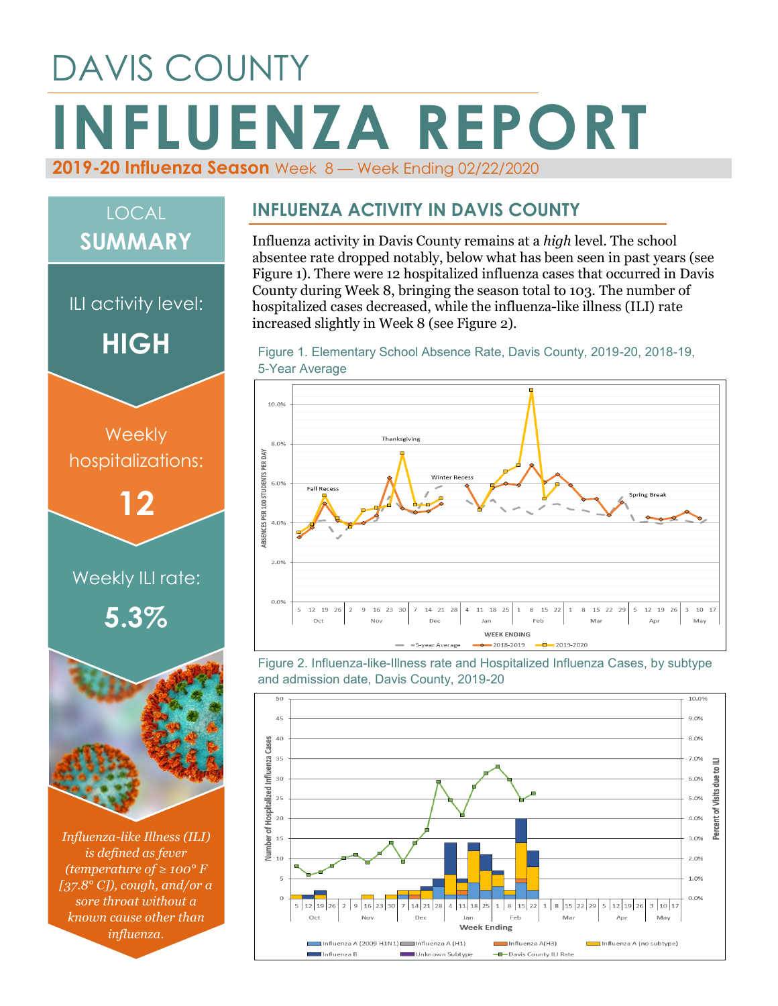# DAVIS COUNTY **INFLUENZA REPORT 2019-20 Influenza Season** Week 8 — Week Ending 02/22/2020



*[37.8° C]), cough, and/or a sore throat without a known cause other than influenza.*

#### **INFLUENZA ACTIVITY IN DAVIS COUNTY**

Influenza activity in Davis County remains at a *high* level. The school absentee rate dropped notably, below what has been seen in past years (see Figure 1). There were 12 hospitalized influenza cases that occurred in Davis County during Week 8, bringing the season total to 103. The number of hospitalized cases decreased, while the influenza-like illness (ILI) rate increased slightly in Week 8 (see Figure 2).





Figure 2. Influenza-like-Illness rate and Hospitalized Influenza Cases, by subtype and admission date, Davis County, 2019-20